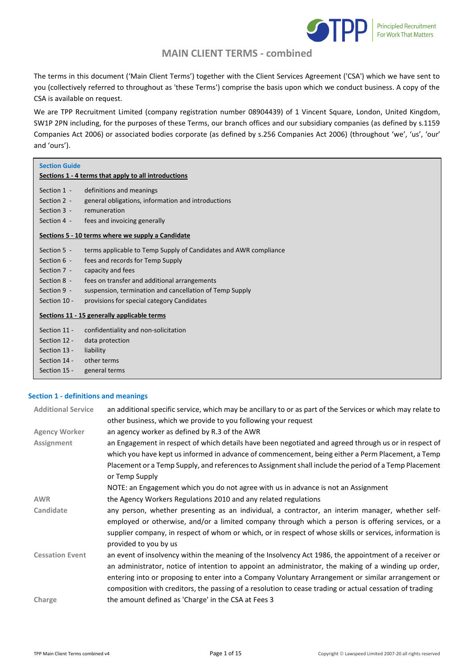

The terms in this document ('Main Client Terms') together with the Client Services Agreement ('CSA') which we have sent to you (collectively referred to throughout as 'these Terms') comprise the basis upon which we conduct business. A copy of the CSA is available on request.

We are TPP Recruitment Limited (company registration number 08904439) of 1 Vincent Square, London, United Kingdom, SW1P 2PN including, for the purposes of these Terms, our branch offices and our subsidiary companies (as defined by s.1159 Companies Act 2006) or associated bodies corporate (as defined by s.256 Companies Act 2006) (throughout 'we', 'us', 'our' and 'ours').

| <b>Section Guide</b>                                 |                                                                  |  |  |
|------------------------------------------------------|------------------------------------------------------------------|--|--|
| Sections 1 - 4 terms that apply to all introductions |                                                                  |  |  |
| Section 1 -                                          | definitions and meanings                                         |  |  |
| Section 2 -                                          | general obligations, information and introductions               |  |  |
| Section 3 -                                          | remuneration                                                     |  |  |
| Section 4 -                                          | fees and invoicing generally                                     |  |  |
| Sections 5 - 10 terms where we supply a Candidate    |                                                                  |  |  |
| Section 5 -                                          | terms applicable to Temp Supply of Candidates and AWR compliance |  |  |
| Section 6 -                                          | fees and records for Temp Supply                                 |  |  |
| Section 7 -                                          | capacity and fees                                                |  |  |
| Section 8 -                                          | fees on transfer and additional arrangements                     |  |  |
| Section 9 -                                          | suspension, termination and cancellation of Temp Supply          |  |  |
| Section 10 -                                         | provisions for special category Candidates                       |  |  |
| Sections 11 - 15 generally applicable terms          |                                                                  |  |  |
| Section 11 -                                         | confidentiality and non-solicitation                             |  |  |
| Section 12 -                                         | data protection                                                  |  |  |
| Section 13 -                                         | liability                                                        |  |  |
| Section 14 -                                         | other terms                                                      |  |  |
| Section 15 -                                         | general terms                                                    |  |  |

### **Section 1 - definitions and meanings**

| <b>Additional Service</b> | an additional specific service, which may be ancillary to or as part of the Services or which may relate to |
|---------------------------|-------------------------------------------------------------------------------------------------------------|
|                           | other business, which we provide to you following your request                                              |
| <b>Agency Worker</b>      | an agency worker as defined by R.3 of the AWR                                                               |
| Assignment                | an Engagement in respect of which details have been negotiated and agreed through us or in respect of       |
|                           | which you have kept us informed in advance of commencement, being either a Perm Placement, a Temp           |
|                           | Placement or a Temp Supply, and references to Assignment shall include the period of a Temp Placement       |
|                           | or Temp Supply                                                                                              |
|                           | NOTE: an Engagement which you do not agree with us in advance is not an Assignment                          |
| <b>AWR</b>                | the Agency Workers Regulations 2010 and any related regulations                                             |
| Candidate                 | any person, whether presenting as an individual, a contractor, an interim manager, whether self-            |
|                           | employed or otherwise, and/or a limited company through which a person is offering services, or a           |
|                           | supplier company, in respect of whom or which, or in respect of whose skills or services, information is    |
|                           | provided to you by us                                                                                       |
| <b>Cessation Event</b>    | an event of insolvency within the meaning of the Insolvency Act 1986, the appointment of a receiver or      |
|                           | an administrator, notice of intention to appoint an administrator, the making of a winding up order,        |
|                           | entering into or proposing to enter into a Company Voluntary Arrangement or similar arrangement or          |
|                           | composition with creditors, the passing of a resolution to cease trading or actual cessation of trading     |
| Charge                    | the amount defined as 'Charge' in the CSA at Fees 3                                                         |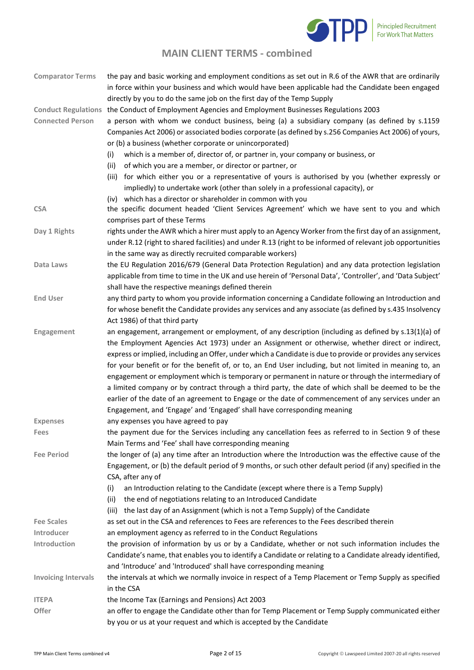

| <b>Comparator Terms</b>    | the pay and basic working and employment conditions as set out in R.6 of the AWR that are ordinarily<br>in force within your business and which would have been applicable had the Candidate been engaged |
|----------------------------|-----------------------------------------------------------------------------------------------------------------------------------------------------------------------------------------------------------|
|                            | directly by you to do the same job on the first day of the Temp Supply                                                                                                                                    |
| <b>Conduct Regulations</b> | the Conduct of Employment Agencies and Employment Businesses Regulations 2003                                                                                                                             |
| <b>Connected Person</b>    | a person with whom we conduct business, being (a) a subsidiary company (as defined by s.1159<br>Companies Act 2006) or associated bodies corporate (as defined by s.256 Companies Act 2006) of yours,     |
|                            | or (b) a business (whether corporate or unincorporated)                                                                                                                                                   |
|                            | which is a member of, director of, or partner in, your company or business, or<br>(i)                                                                                                                     |
|                            | of which you are a member, or director or partner, or<br>(ii)                                                                                                                                             |
|                            | for which either you or a representative of yours is authorised by you (whether expressly or<br>(iii)                                                                                                     |
|                            | impliedly) to undertake work (other than solely in a professional capacity), or                                                                                                                           |
| <b>CSA</b>                 | (iv) which has a director or shareholder in common with you<br>the specific document headed 'Client Services Agreement' which we have sent to you and which                                               |
|                            | comprises part of these Terms                                                                                                                                                                             |
| Day 1 Rights               | rights under the AWR which a hirer must apply to an Agency Worker from the first day of an assignment,                                                                                                    |
|                            | under R.12 (right to shared facilities) and under R.13 (right to be informed of relevant job opportunities                                                                                                |
|                            | in the same way as directly recruited comparable workers)                                                                                                                                                 |
| Data Laws                  | the EU Regulation 2016/679 (General Data Protection Regulation) and any data protection legislation                                                                                                       |
|                            | applicable from time to time in the UK and use herein of 'Personal Data', 'Controller', and 'Data Subject'                                                                                                |
|                            | shall have the respective meanings defined therein                                                                                                                                                        |
| <b>End User</b>            | any third party to whom you provide information concerning a Candidate following an Introduction and                                                                                                      |
|                            | for whose benefit the Candidate provides any services and any associate (as defined by s.435 Insolvency                                                                                                   |
|                            | Act 1986) of that third party                                                                                                                                                                             |
| Engagement                 | an engagement, arrangement or employment, of any description (including as defined by s.13(1)(a) of                                                                                                       |
|                            | the Employment Agencies Act 1973) under an Assignment or otherwise, whether direct or indirect,                                                                                                           |
|                            | express or implied, including an Offer, under which a Candidate is due to provide or provides any services                                                                                                |
|                            | for your benefit or for the benefit of, or to, an End User including, but not limited in meaning to, an                                                                                                   |
|                            | engagement or employment which is temporary or permanent in nature or through the intermediary of                                                                                                         |
|                            | a limited company or by contract through a third party, the date of which shall be deemed to be the                                                                                                       |
|                            | earlier of the date of an agreement to Engage or the date of commencement of any services under an<br>Engagement, and 'Engage' and 'Engaged' shall have corresponding meaning                             |
|                            |                                                                                                                                                                                                           |
| <b>Expenses</b>            | any expenses you have agreed to pay<br>the payment due for the Services including any cancellation fees as referred to in Section 9 of these                                                              |
| Fees                       | Main Terms and 'Fee' shall have corresponding meaning                                                                                                                                                     |
| <b>Fee Period</b>          | the longer of (a) any time after an Introduction where the Introduction was the effective cause of the                                                                                                    |
|                            | Engagement, or (b) the default period of 9 months, or such other default period (if any) specified in the                                                                                                 |
|                            | CSA, after any of                                                                                                                                                                                         |
|                            | an Introduction relating to the Candidate (except where there is a Temp Supply)<br>(i)                                                                                                                    |
|                            | the end of negotiations relating to an Introduced Candidate<br>(ii)                                                                                                                                       |
|                            | (iii) the last day of an Assignment (which is not a Temp Supply) of the Candidate                                                                                                                         |
| <b>Fee Scales</b>          | as set out in the CSA and references to Fees are references to the Fees described therein                                                                                                                 |
| Introducer                 | an employment agency as referred to in the Conduct Regulations                                                                                                                                            |
| Introduction               | the provision of information by us or by a Candidate, whether or not such information includes the                                                                                                        |
|                            | Candidate's name, that enables you to identify a Candidate or relating to a Candidate already identified,                                                                                                 |
|                            | and 'Introduce' and 'Introduced' shall have corresponding meaning                                                                                                                                         |
| <b>Invoicing Intervals</b> | the intervals at which we normally invoice in respect of a Temp Placement or Temp Supply as specified                                                                                                     |
|                            | in the CSA                                                                                                                                                                                                |
| <b>ITEPA</b>               | the Income Tax (Earnings and Pensions) Act 2003                                                                                                                                                           |
| <b>Offer</b>               | an offer to engage the Candidate other than for Temp Placement or Temp Supply communicated either                                                                                                         |
|                            | by you or us at your request and which is accepted by the Candidate                                                                                                                                       |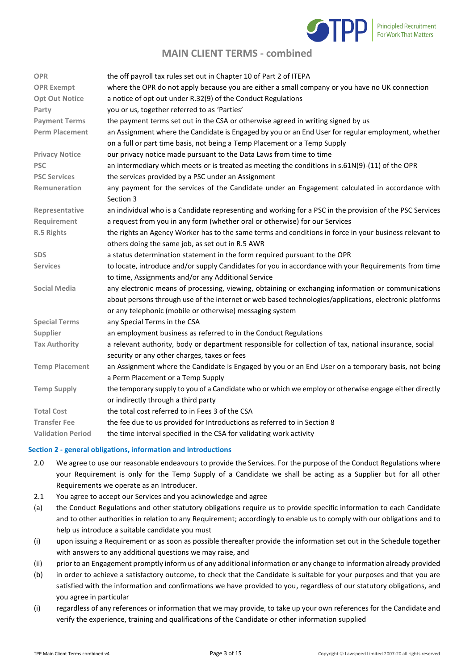

| <b>OPR</b>               | the off payroll tax rules set out in Chapter 10 of Part 2 of ITEPA                                       |
|--------------------------|----------------------------------------------------------------------------------------------------------|
| <b>OPR Exempt</b>        | where the OPR do not apply because you are either a small company or you have no UK connection           |
| <b>Opt Out Notice</b>    | a notice of opt out under R.32(9) of the Conduct Regulations                                             |
| Party                    | you or us, together referred to as 'Parties'                                                             |
| <b>Payment Terms</b>     | the payment terms set out in the CSA or otherwise agreed in writing signed by us                         |
| <b>Perm Placement</b>    | an Assignment where the Candidate is Engaged by you or an End User for regular employment, whether       |
|                          | on a full or part time basis, not being a Temp Placement or a Temp Supply                                |
| <b>Privacy Notice</b>    | our privacy notice made pursuant to the Data Laws from time to time                                      |
| <b>PSC</b>               | an intermediary which meets or is treated as meeting the conditions in s.61N(9)-(11) of the OPR          |
| <b>PSC Services</b>      | the services provided by a PSC under an Assignment                                                       |
| Remuneration             | any payment for the services of the Candidate under an Engagement calculated in accordance with          |
|                          | Section 3                                                                                                |
| Representative           | an individual who is a Candidate representing and working for a PSC in the provision of the PSC Services |
| Requirement              | a request from you in any form (whether oral or otherwise) for our Services                              |
| R.5 Rights               | the rights an Agency Worker has to the same terms and conditions in force in your business relevant to   |
|                          | others doing the same job, as set out in R.5 AWR                                                         |
| <b>SDS</b>               | a status determination statement in the form required pursuant to the OPR                                |
| <b>Services</b>          | to locate, introduce and/or supply Candidates for you in accordance with your Requirements from time     |
|                          | to time, Assignments and/or any Additional Service                                                       |
| <b>Social Media</b>      | any electronic means of processing, viewing, obtaining or exchanging information or communications       |
|                          | about persons through use of the internet or web based technologies/applications, electronic platforms   |
|                          | or any telephonic (mobile or otherwise) messaging system                                                 |
| <b>Special Terms</b>     | any Special Terms in the CSA                                                                             |
| Supplier                 | an employment business as referred to in the Conduct Regulations                                         |
| <b>Tax Authority</b>     | a relevant authority, body or department responsible for collection of tax, national insurance, social   |
|                          | security or any other charges, taxes or fees                                                             |
| <b>Temp Placement</b>    | an Assignment where the Candidate is Engaged by you or an End User on a temporary basis, not being       |
|                          | a Perm Placement or a Temp Supply                                                                        |
| <b>Temp Supply</b>       | the temporary supply to you of a Candidate who or which we employ or otherwise engage either directly    |
|                          | or indirectly through a third party                                                                      |
| <b>Total Cost</b>        | the total cost referred to in Fees 3 of the CSA                                                          |
| <b>Transfer Fee</b>      | the fee due to us provided for Introductions as referred to in Section 8                                 |
| <b>Validation Period</b> | the time interval specified in the CSA for validating work activity                                      |

#### **Section 2 - general obligations, information and introductions**

- 2.0 We agree to use our reasonable endeavours to provide the Services. For the purpose of the Conduct Regulations where your Requirement is only for the Temp Supply of a Candidate we shall be acting as a Supplier but for all other Requirements we operate as an Introducer.
- 2.1 You agree to accept our Services and you acknowledge and agree
- (a) the Conduct Regulations and other statutory obligations require us to provide specific information to each Candidate and to other authorities in relation to any Requirement; accordingly to enable us to comply with our obligations and to help us introduce a suitable candidate you must
- (i) upon issuing a Requirement or as soon as possible thereafter provide the information set out in the Schedule together with answers to any additional questions we may raise, and
- (ii) prior to an Engagement promptly inform us of any additional information or any change to information already provided
- (b) in order to achieve a satisfactory outcome, to check that the Candidate is suitable for your purposes and that you are satisfied with the information and confirmations we have provided to you, regardless of our statutory obligations, and you agree in particular
- (i) regardless of any references or information that we may provide, to take up your own references for the Candidate and verify the experience, training and qualifications of the Candidate or other information supplied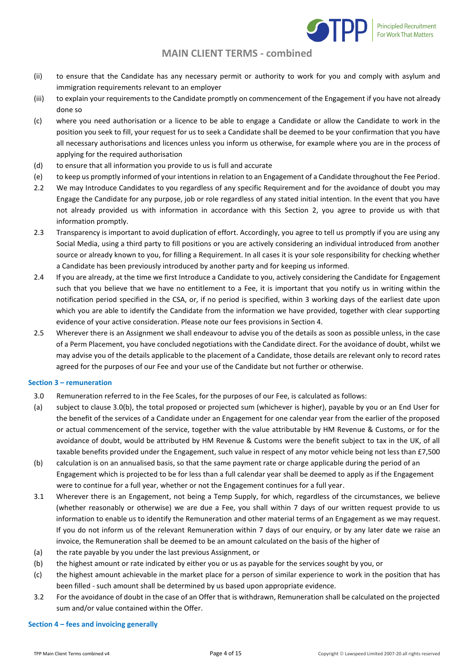

- (ii) to ensure that the Candidate has any necessary permit or authority to work for you and comply with asylum and immigration requirements relevant to an employer
- (iii) to explain your requirements to the Candidate promptly on commencement of the Engagement if you have not already done so
- (c) where you need authorisation or a licence to be able to engage a Candidate or allow the Candidate to work in the position you seek to fill, your request for us to seek a Candidate shall be deemed to be your confirmation that you have all necessary authorisations and licences unless you inform us otherwise, for example where you are in the process of applying for the required authorisation
- (d) to ensure that all information you provide to us is full and accurate
- (e) to keep us promptly informed of your intentions in relation to an Engagement of a Candidate throughout the Fee Period.
- 2.2 We may Introduce Candidates to you regardless of any specific Requirement and for the avoidance of doubt you may Engage the Candidate for any purpose, job or role regardless of any stated initial intention. In the event that you have not already provided us with information in accordance with this Section 2, you agree to provide us with that information promptly.
- 2.3 Transparency is important to avoid duplication of effort. Accordingly, you agree to tell us promptly if you are using any Social Media, using a third party to fill positions or you are actively considering an individual introduced from another source or already known to you, for filling a Requirement. In all cases it is your sole responsibility for checking whether a Candidate has been previously introduced by another party and for keeping us informed.
- 2.4 If you are already, at the time we first Introduce a Candidate to you, actively considering the Candidate for Engagement such that you believe that we have no entitlement to a Fee, it is important that you notify us in writing within the notification period specified in the CSA, or, if no period is specified, within 3 working days of the earliest date upon which you are able to identify the Candidate from the information we have provided, together with clear supporting evidence of your active consideration. Please note our fees provisions in Section 4.
- 2.5 Wherever there is an Assignment we shall endeavour to advise you of the details as soon as possible unless, in the case of a Perm Placement, you have concluded negotiations with the Candidate direct. For the avoidance of doubt, whilst we may advise you of the details applicable to the placement of a Candidate, those details are relevant only to record rates agreed for the purposes of our Fee and your use of the Candidate but not further or otherwise.

### **Section 3 – remuneration**

- 3.0 Remuneration referred to in the Fee Scales, for the purposes of our Fee, is calculated as follows:
- (a) subject to clause 3.0(b), the total proposed or projected sum (whichever is higher), payable by you or an End User for the benefit of the services of a Candidate under an Engagement for one calendar year from the earlier of the proposed or actual commencement of the service, together with the value attributable by HM Revenue & Customs, or for the avoidance of doubt, would be attributed by HM Revenue & Customs were the benefit subject to tax in the UK, of all taxable benefits provided under the Engagement, such value in respect of any motor vehicle being not less than £7,500
- (b) calculation is on an annualised basis, so that the same payment rate or charge applicable during the period of an Engagement which is projected to be for less than a full calendar year shall be deemed to apply as if the Engagement were to continue for a full year, whether or not the Engagement continues for a full year.
- 3.1 Wherever there is an Engagement, not being a Temp Supply, for which, regardless of the circumstances, we believe (whether reasonably or otherwise) we are due a Fee, you shall within 7 days of our written request provide to us information to enable us to identify the Remuneration and other material terms of an Engagement as we may request. If you do not inform us of the relevant Remuneration within 7 days of our enquiry, or by any later date we raise an invoice, the Remuneration shall be deemed to be an amount calculated on the basis of the higher of
- (a) the rate payable by you under the last previous Assignment, or
- (b) the highest amount or rate indicated by either you or us as payable for the services sought by you, or
- (c) the highest amount achievable in the market place for a person of similar experience to work in the position that has been filled - such amount shall be determined by us based upon appropriate evidence.
- 3.2 For the avoidance of doubt in the case of an Offer that is withdrawn, Remuneration shall be calculated on the projected sum and/or value contained within the Offer.

#### **Section 4 – fees and invoicing generally**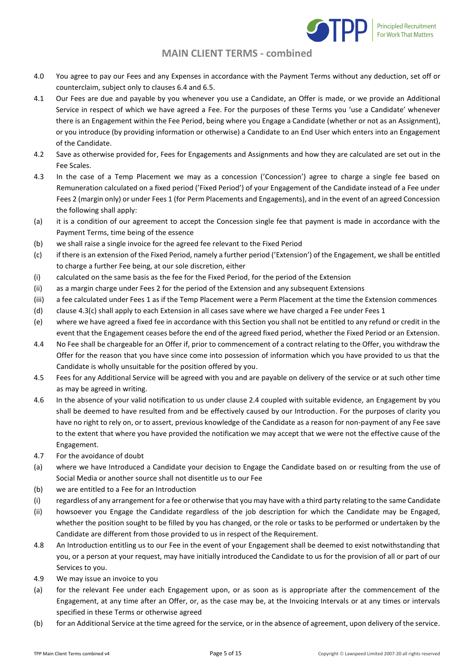

- 4.0 You agree to pay our Fees and any Expenses in accordance with the Payment Terms without any deduction, set off or counterclaim, subject only to clauses 6.4 and 6.5.
- 4.1 Our Fees are due and payable by you whenever you use a Candidate, an Offer is made, or we provide an Additional Service in respect of which we have agreed a Fee. For the purposes of these Terms you 'use a Candidate' whenever there is an Engagement within the Fee Period, being where you Engage a Candidate (whether or not as an Assignment), or you introduce (by providing information or otherwise) a Candidate to an End User which enters into an Engagement of the Candidate.
- 4.2 Save as otherwise provided for, Fees for Engagements and Assignments and how they are calculated are set out in the Fee Scales.
- 4.3 In the case of a Temp Placement we may as a concession ('Concession') agree to charge a single fee based on Remuneration calculated on a fixed period ('Fixed Period') of your Engagement of the Candidate instead of a Fee under Fees 2 (margin only) or under Fees 1 (for Perm Placements and Engagements), and in the event of an agreed Concession the following shall apply:
- (a) it is a condition of our agreement to accept the Concession single fee that payment is made in accordance with the Payment Terms, time being of the essence
- (b) we shall raise a single invoice for the agreed fee relevant to the Fixed Period
- (c) if there is an extension of the Fixed Period, namely a further period ('Extension') of the Engagement, we shall be entitled to charge a further Fee being, at our sole discretion, either
- (i) calculated on the same basis as the fee for the Fixed Period, for the period of the Extension
- (ii) as a margin charge under Fees 2 for the period of the Extension and any subsequent Extensions
- (iii) a fee calculated under Fees 1 as if the Temp Placement were a Perm Placement at the time the Extension commences
- (d) clause 4.3(c) shall apply to each Extension in all cases save where we have charged a Fee under Fees 1
- (e) where we have agreed a fixed fee in accordance with this Section you shall not be entitled to any refund or credit in the event that the Engagement ceases before the end of the agreed fixed period, whether the Fixed Period or an Extension.
- 4.4 No Fee shall be chargeable for an Offer if, prior to commencement of a contract relating to the Offer, you withdraw the Offer for the reason that you have since come into possession of information which you have provided to us that the Candidate is wholly unsuitable for the position offered by you.
- 4.5 Fees for any Additional Service will be agreed with you and are payable on delivery of the service or at such other time as may be agreed in writing.
- 4.6 In the absence of your valid notification to us under clause 2.4 coupled with suitable evidence, an Engagement by you shall be deemed to have resulted from and be effectively caused by our Introduction. For the purposes of clarity you have no right to rely on, or to assert, previous knowledge of the Candidate as a reason for non-payment of any Fee save to the extent that where you have provided the notification we may accept that we were not the effective cause of the Engagement.
- 4.7 For the avoidance of doubt
- (a) where we have Introduced a Candidate your decision to Engage the Candidate based on or resulting from the use of Social Media or another source shall not disentitle us to our Fee
- (b) we are entitled to a Fee for an Introduction
- (i) regardless of any arrangement for a fee or otherwise that you may have with a third party relating to the same Candidate
- (ii) howsoever you Engage the Candidate regardless of the job description for which the Candidate may be Engaged, whether the position sought to be filled by you has changed, or the role or tasks to be performed or undertaken by the Candidate are different from those provided to us in respect of the Requirement.
- 4.8 An Introduction entitling us to our Fee in the event of your Engagement shall be deemed to exist notwithstanding that you, or a person at your request, may have initially introduced the Candidate to us for the provision of all or part of our Services to you.
- 4.9 We may issue an invoice to you
- (a) for the relevant Fee under each Engagement upon, or as soon as is appropriate after the commencement of the Engagement, at any time after an Offer, or, as the case may be, at the Invoicing Intervals or at any times or intervals specified in these Terms or otherwise agreed
- (b) for an Additional Service at the time agreed for the service, or in the absence of agreement, upon delivery of the service.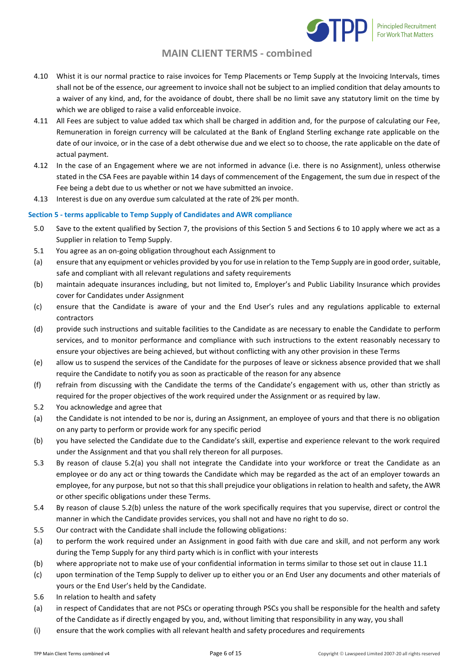

- 4.10 Whist it is our normal practice to raise invoices for Temp Placements or Temp Supply at the Invoicing Intervals, times shall not be of the essence, our agreement to invoice shall not be subject to an implied condition that delay amounts to a waiver of any kind, and, for the avoidance of doubt, there shall be no limit save any statutory limit on the time by which we are obliged to raise a valid enforceable invoice.
- 4.11 All Fees are subject to value added tax which shall be charged in addition and, for the purpose of calculating our Fee, Remuneration in foreign currency will be calculated at the Bank of England Sterling exchange rate applicable on the date of our invoice, or in the case of a debt otherwise due and we elect so to choose, the rate applicable on the date of actual payment.
- 4.12 In the case of an Engagement where we are not informed in advance (i.e. there is no Assignment), unless otherwise stated in the CSA Fees are payable within 14 days of commencement of the Engagement, the sum due in respect of the Fee being a debt due to us whether or not we have submitted an invoice.
- 4.13 Interest is due on any overdue sum calculated at the rate of 2% per month.

### **Section 5 - terms applicable to Temp Supply of Candidates and AWR compliance**

- 5.0 Save to the extent qualified by Section 7, the provisions of this Section 5 and Sections 6 to 10 apply where we act as a Supplier in relation to Temp Supply.
- 5.1 You agree as an on-going obligation throughout each Assignment to
- (a) ensure that any equipment or vehicles provided by you for use in relation to the Temp Supply are in good order, suitable, safe and compliant with all relevant regulations and safety requirements
- (b) maintain adequate insurances including, but not limited to, Employer's and Public Liability Insurance which provides cover for Candidates under Assignment
- (c) ensure that the Candidate is aware of your and the End User's rules and any regulations applicable to external contractors
- (d) provide such instructions and suitable facilities to the Candidate as are necessary to enable the Candidate to perform services, and to monitor performance and compliance with such instructions to the extent reasonably necessary to ensure your objectives are being achieved, but without conflicting with any other provision in these Terms
- (e) allow us to suspend the services of the Candidate for the purposes of leave or sickness absence provided that we shall require the Candidate to notify you as soon as practicable of the reason for any absence
- (f) refrain from discussing with the Candidate the terms of the Candidate's engagement with us, other than strictly as required for the proper objectives of the work required under the Assignment or as required by law.
- 5.2 You acknowledge and agree that
- (a) the Candidate is not intended to be nor is, during an Assignment, an employee of yours and that there is no obligation on any party to perform or provide work for any specific period
- (b) you have selected the Candidate due to the Candidate's skill, expertise and experience relevant to the work required under the Assignment and that you shall rely thereon for all purposes.
- 5.3 By reason of clause 5.2(a) you shall not integrate the Candidate into your workforce or treat the Candidate as an employee or do any act or thing towards the Candidate which may be regarded as the act of an employer towards an employee, for any purpose, but not so that this shall prejudice your obligations in relation to health and safety, the AWR or other specific obligations under these Terms.
- 5.4 By reason of clause 5.2(b) unless the nature of the work specifically requires that you supervise, direct or control the manner in which the Candidate provides services, you shall not and have no right to do so.
- 5.5 Our contract with the Candidate shall include the following obligations:
- (a) to perform the work required under an Assignment in good faith with due care and skill, and not perform any work during the Temp Supply for any third party which is in conflict with your interests
- (b) where appropriate not to make use of your confidential information in terms similar to those set out in clause 11.1
- (c) upon termination of the Temp Supply to deliver up to either you or an End User any documents and other materials of yours or the End User's held by the Candidate.
- 5.6 In relation to health and safety
- (a) in respect of Candidates that are not PSCs or operating through PSCs you shall be responsible for the health and safety of the Candidate as if directly engaged by you, and, without limiting that responsibility in any way, you shall
- (i) ensure that the work complies with all relevant health and safety procedures and requirements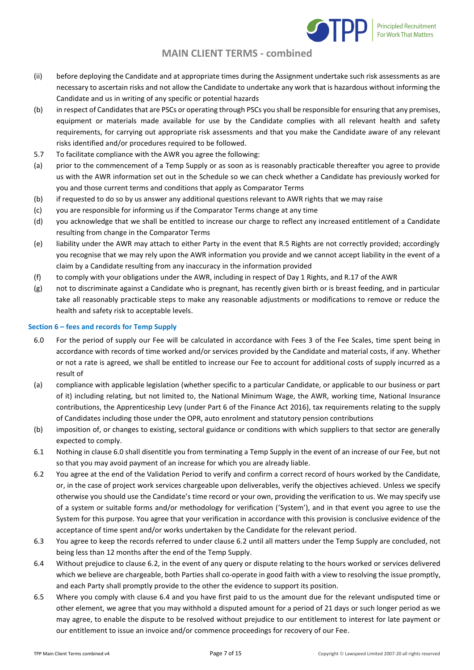

- (ii) before deploying the Candidate and at appropriate times during the Assignment undertake such risk assessments as are necessary to ascertain risks and not allow the Candidate to undertake any work that is hazardous without informing the Candidate and us in writing of any specific or potential hazards
- (b) in respect of Candidates that are PSCs or operating through PSCs you shall be responsible for ensuring that any premises, equipment or materials made available for use by the Candidate complies with all relevant health and safety requirements, for carrying out appropriate risk assessments and that you make the Candidate aware of any relevant risks identified and/or procedures required to be followed.
- 5.7 To facilitate compliance with the AWR you agree the following:
- (a) prior to the commencement of a Temp Supply or as soon as is reasonably practicable thereafter you agree to provide us with the AWR information set out in the Schedule so we can check whether a Candidate has previously worked for you and those current terms and conditions that apply as Comparator Terms
- (b) if requested to do so by us answer any additional questions relevant to AWR rights that we may raise
- (c) you are responsible for informing us if the Comparator Terms change at any time
- (d) you acknowledge that we shall be entitled to increase our charge to reflect any increased entitlement of a Candidate resulting from change in the Comparator Terms
- (e) liability under the AWR may attach to either Party in the event that R.5 Rights are not correctly provided; accordingly you recognise that we may rely upon the AWR information you provide and we cannot accept liability in the event of a claim by a Candidate resulting from any inaccuracy in the information provided
- (f) to comply with your obligations under the AWR, including in respect of Day 1 Rights, and R.17 of the AWR
- (g) not to discriminate against a Candidate who is pregnant, has recently given birth or is breast feeding, and in particular take all reasonably practicable steps to make any reasonable adjustments or modifications to remove or reduce the health and safety risk to acceptable levels.

### **Section 6 – fees and records for Temp Supply**

- 6.0 For the period of supply our Fee will be calculated in accordance with Fees 3 of the Fee Scales, time spent being in accordance with records of time worked and/or services provided by the Candidate and material costs, if any. Whether or not a rate is agreed, we shall be entitled to increase our Fee to account for additional costs of supply incurred as a result of
- (a) compliance with applicable legislation (whether specific to a particular Candidate, or applicable to our business or part of it) including relating, but not limited to, the National Minimum Wage, the AWR, working time, National Insurance contributions, the Apprenticeship Levy (under Part 6 of the Finance Act 2016), tax requirements relating to the supply of Candidates including those under the OPR, auto enrolment and statutory pension contributions
- (b) imposition of, or changes to existing, sectoral guidance or conditions with which suppliers to that sector are generally expected to comply.
- 6.1 Nothing in clause 6.0 shall disentitle you from terminating a Temp Supply in the event of an increase of our Fee, but not so that you may avoid payment of an increase for which you are already liable.
- 6.2 You agree at the end of the Validation Period to verify and confirm a correct record of hours worked by the Candidate, or, in the case of project work services chargeable upon deliverables, verify the objectives achieved. Unless we specify otherwise you should use the Candidate's time record or your own, providing the verification to us. We may specify use of a system or suitable forms and/or methodology for verification ('System'), and in that event you agree to use the System for this purpose. You agree that your verification in accordance with this provision is conclusive evidence of the acceptance of time spent and/or works undertaken by the Candidate for the relevant period.
- 6.3 You agree to keep the records referred to under clause 6.2 until all matters under the Temp Supply are concluded, not being less than 12 months after the end of the Temp Supply.
- 6.4 Without prejudice to clause 6.2, in the event of any query or dispute relating to the hours worked or services delivered which we believe are chargeable, both Parties shall co-operate in good faith with a view to resolving the issue promptly, and each Party shall promptly provide to the other the evidence to support its position.
- 6.5 Where you comply with clause 6.4 and you have first paid to us the amount due for the relevant undisputed time or other element, we agree that you may withhold a disputed amount for a period of 21 days or such longer period as we may agree, to enable the dispute to be resolved without prejudice to our entitlement to interest for late payment or our entitlement to issue an invoice and/or commence proceedings for recovery of our Fee.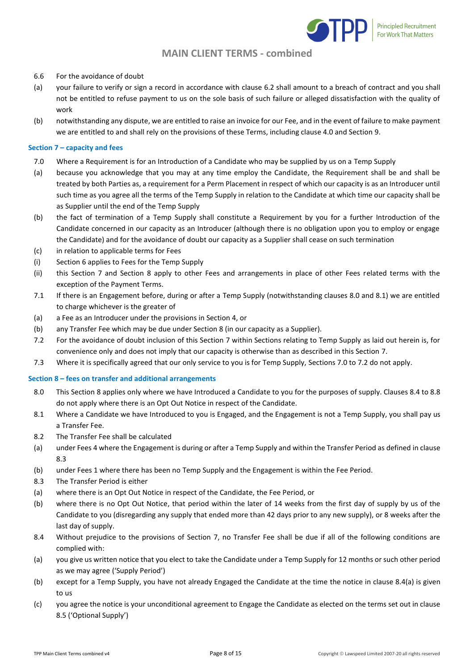

- 6.6 For the avoidance of doubt
- (a) your failure to verify or sign a record in accordance with clause 6.2 shall amount to a breach of contract and you shall not be entitled to refuse payment to us on the sole basis of such failure or alleged dissatisfaction with the quality of work
- (b) notwithstanding any dispute, we are entitled to raise an invoice for our Fee, and in the event of failure to make payment we are entitled to and shall rely on the provisions of these Terms, including clause 4.0 and Section 9.

### **Section 7 – capacity and fees**

- 7.0 Where a Requirement is for an Introduction of a Candidate who may be supplied by us on a Temp Supply
- (a) because you acknowledge that you may at any time employ the Candidate, the Requirement shall be and shall be treated by both Parties as, a requirement for a Perm Placement in respect of which our capacity is as an Introducer until such time as you agree all the terms of the Temp Supply in relation to the Candidate at which time our capacity shall be as Supplier until the end of the Temp Supply
- (b) the fact of termination of a Temp Supply shall constitute a Requirement by you for a further Introduction of the Candidate concerned in our capacity as an Introducer (although there is no obligation upon you to employ or engage the Candidate) and for the avoidance of doubt our capacity as a Supplier shall cease on such termination
- (c) in relation to applicable terms for Fees
- (i) Section 6 applies to Fees for the Temp Supply
- (ii) this Section 7 and Section 8 apply to other Fees and arrangements in place of other Fees related terms with the exception of the Payment Terms.
- 7.1 If there is an Engagement before, during or after a Temp Supply (notwithstanding clauses 8.0 and 8.1) we are entitled to charge whichever is the greater of
- (a) a Fee as an Introducer under the provisions in Section 4, or
- (b) any Transfer Fee which may be due under Section 8 (in our capacity as a Supplier).
- 7.2 For the avoidance of doubt inclusion of this Section 7 within Sections relating to Temp Supply as laid out herein is, for convenience only and does not imply that our capacity is otherwise than as described in this Section 7.
- 7.3 Where it is specifically agreed that our only service to you is for Temp Supply, Sections 7.0 to 7.2 do not apply.

#### **Section 8 – fees on transfer and additional arrangements**

- 8.0 This Section 8 applies only where we have Introduced a Candidate to you for the purposes of supply. Clauses 8.4 to 8.8 do not apply where there is an Opt Out Notice in respect of the Candidate.
- 8.1 Where a Candidate we have Introduced to you is Engaged, and the Engagement is not a Temp Supply, you shall pay us a Transfer Fee.
- 8.2 The Transfer Fee shall be calculated
- (a) under Fees 4 where the Engagement is during or after a Temp Supply and within the Transfer Period as defined in clause 8.3
- (b) under Fees 1 where there has been no Temp Supply and the Engagement is within the Fee Period.
- 8.3 The Transfer Period is either
- (a) where there is an Opt Out Notice in respect of the Candidate, the Fee Period, or
- (b) where there is no Opt Out Notice, that period within the later of 14 weeks from the first day of supply by us of the Candidate to you (disregarding any supply that ended more than 42 days prior to any new supply), or 8 weeks after the last day of supply.
- 8.4 Without prejudice to the provisions of Section 7, no Transfer Fee shall be due if all of the following conditions are complied with:
- (a) you give us written notice that you elect to take the Candidate under a Temp Supply for 12 months or such other period as we may agree ('Supply Period')
- (b) except for a Temp Supply, you have not already Engaged the Candidate at the time the notice in clause 8.4(a) is given to us
- (c) you agree the notice is your unconditional agreement to Engage the Candidate as elected on the terms set out in clause 8.5 ('Optional Supply')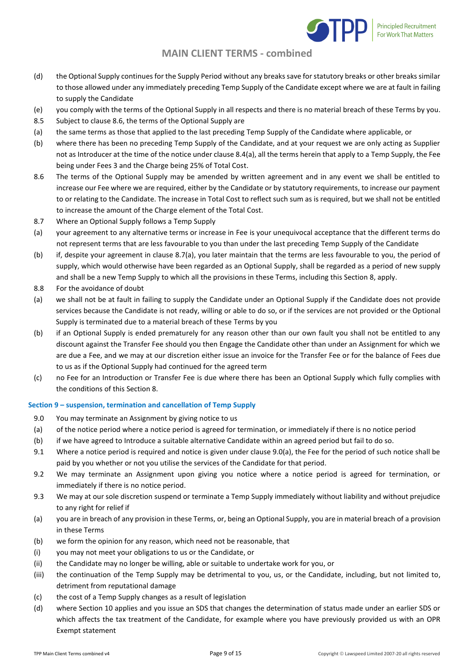

- (d) the Optional Supply continues for the Supply Period without any breaks save for statutory breaks or other breaks similar to those allowed under any immediately preceding Temp Supply of the Candidate except where we are at fault in failing to supply the Candidate
- (e) you comply with the terms of the Optional Supply in all respects and there is no material breach of these Terms by you.
- 8.5 Subject to clause 8.6, the terms of the Optional Supply are
- (a) the same terms as those that applied to the last preceding Temp Supply of the Candidate where applicable, or
- (b) where there has been no preceding Temp Supply of the Candidate, and at your request we are only acting as Supplier not as Introducer at the time of the notice under clause 8.4(a), all the terms herein that apply to a Temp Supply, the Fee being under Fees 3 and the Charge being 25% of Total Cost.
- 8.6 The terms of the Optional Supply may be amended by written agreement and in any event we shall be entitled to increase our Fee where we are required, either by the Candidate or by statutory requirements, to increase our payment to or relating to the Candidate. The increase in Total Cost to reflect such sum as is required, but we shall not be entitled to increase the amount of the Charge element of the Total Cost.
- 8.7 Where an Optional Supply follows a Temp Supply
- (a) your agreement to any alternative terms or increase in Fee is your unequivocal acceptance that the different terms do not represent terms that are less favourable to you than under the last preceding Temp Supply of the Candidate
- (b) if, despite your agreement in clause 8.7(a), you later maintain that the terms are less favourable to you, the period of supply, which would otherwise have been regarded as an Optional Supply, shall be regarded as a period of new supply and shall be a new Temp Supply to which all the provisions in these Terms, including this Section 8, apply.
- 8.8 For the avoidance of doubt
- (a) we shall not be at fault in failing to supply the Candidate under an Optional Supply if the Candidate does not provide services because the Candidate is not ready, willing or able to do so, or if the services are not provided or the Optional Supply is terminated due to a material breach of these Terms by you
- (b) if an Optional Supply is ended prematurely for any reason other than our own fault you shall not be entitled to any discount against the Transfer Fee should you then Engage the Candidate other than under an Assignment for which we are due a Fee, and we may at our discretion either issue an invoice for the Transfer Fee or for the balance of Fees due to us as if the Optional Supply had continued for the agreed term
- (c) no Fee for an Introduction or Transfer Fee is due where there has been an Optional Supply which fully complies with the conditions of this Section 8.

### **Section 9 – suspension, termination and cancellation of Temp Supply**

- 9.0 You may terminate an Assignment by giving notice to us
- (a) of the notice period where a notice period is agreed for termination, or immediately if there is no notice period
- (b) if we have agreed to Introduce a suitable alternative Candidate within an agreed period but fail to do so.
- 9.1 Where a notice period is required and notice is given under clause 9.0(a), the Fee for the period of such notice shall be paid by you whether or not you utilise the services of the Candidate for that period.
- 9.2 We may terminate an Assignment upon giving you notice where a notice period is agreed for termination, or immediately if there is no notice period.
- 9.3 We may at our sole discretion suspend or terminate a Temp Supply immediately without liability and without prejudice to any right for relief if
- (a) you are in breach of any provision in these Terms, or, being an Optional Supply, you are in material breach of a provision in these Terms
- (b) we form the opinion for any reason, which need not be reasonable, that
- (i) you may not meet your obligations to us or the Candidate, or
- (ii) the Candidate may no longer be willing, able or suitable to undertake work for you, or
- (iii) the continuation of the Temp Supply may be detrimental to you, us, or the Candidate, including, but not limited to, detriment from reputational damage
- (c) the cost of a Temp Supply changes as a result of legislation
- (d) where Section 10 applies and you issue an SDS that changes the determination of status made under an earlier SDS or which affects the tax treatment of the Candidate, for example where you have previously provided us with an OPR Exempt statement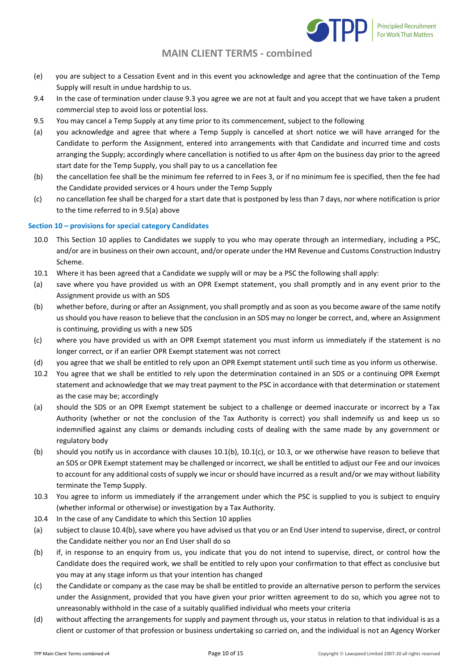

- (e) you are subject to a Cessation Event and in this event you acknowledge and agree that the continuation of the Temp Supply will result in undue hardship to us.
- 9.4 In the case of termination under clause 9.3 you agree we are not at fault and you accept that we have taken a prudent commercial step to avoid loss or potential loss.
- 9.5 You may cancel a Temp Supply at any time prior to its commencement, subject to the following
- (a) you acknowledge and agree that where a Temp Supply is cancelled at short notice we will have arranged for the Candidate to perform the Assignment, entered into arrangements with that Candidate and incurred time and costs arranging the Supply; accordingly where cancellation is notified to us after 4pm on the business day prior to the agreed start date for the Temp Supply, you shall pay to us a cancellation fee
- (b) the cancellation fee shall be the minimum fee referred to in Fees 3, or if no minimum fee is specified, then the fee had the Candidate provided services or 4 hours under the Temp Supply
- (c) no cancellation fee shall be charged for a start date that is postponed by less than 7 days, nor where notification is prior to the time referred to in 9.5(a) above

#### **Section 10 – provisions for special category Candidates**

- 10.0 This Section 10 applies to Candidates we supply to you who may operate through an intermediary, including a PSC, and/or are in business on their own account, and/or operate under the HM Revenue and Customs Construction Industry Scheme.
- 10.1 Where it has been agreed that a Candidate we supply will or may be a PSC the following shall apply:
- (a) save where you have provided us with an OPR Exempt statement, you shall promptly and in any event prior to the Assignment provide us with an SDS
- (b) whether before, during or after an Assignment, you shall promptly and as soon as you become aware of the same notify us should you have reason to believe that the conclusion in an SDS may no longer be correct, and, where an Assignment is continuing, providing us with a new SDS
- (c) where you have provided us with an OPR Exempt statement you must inform us immediately if the statement is no longer correct, or if an earlier OPR Exempt statement was not correct
- (d) you agree that we shall be entitled to rely upon an OPR Exempt statement until such time as you inform us otherwise.
- 10.2 You agree that we shall be entitled to rely upon the determination contained in an SDS or a continuing OPR Exempt statement and acknowledge that we may treat payment to the PSC in accordance with that determination or statement as the case may be; accordingly
- (a) should the SDS or an OPR Exempt statement be subject to a challenge or deemed inaccurate or incorrect by a Tax Authority (whether or not the conclusion of the Tax Authority is correct) you shall indemnify us and keep us so indemnified against any claims or demands including costs of dealing with the same made by any government or regulatory body
- (b) should you notify us in accordance with clauses 10.1(b), 10.1(c), or 10.3, or we otherwise have reason to believe that an SDS or OPR Exempt statement may be challenged or incorrect, we shall be entitled to adjust our Fee and our invoices to account for any additional costs of supply we incur or should have incurred as a result and/or we may without liability terminate the Temp Supply.
- 10.3 You agree to inform us immediately if the arrangement under which the PSC is supplied to you is subject to enquiry (whether informal or otherwise) or investigation by a Tax Authority.
- 10.4 In the case of any Candidate to which this Section 10 applies
- (a) subject to clause 10.4(b), save where you have advised us that you or an End User intend to supervise, direct, or control the Candidate neither you nor an End User shall do so
- (b) if, in response to an enquiry from us, you indicate that you do not intend to supervise, direct, or control how the Candidate does the required work, we shall be entitled to rely upon your confirmation to that effect as conclusive but you may at any stage inform us that your intention has changed
- (c) the Candidate or company as the case may be shall be entitled to provide an alternative person to perform the services under the Assignment, provided that you have given your prior written agreement to do so, which you agree not to unreasonably withhold in the case of a suitably qualified individual who meets your criteria
- (d) without affecting the arrangements for supply and payment through us, your status in relation to that individual is as a client or customer of that profession or business undertaking so carried on, and the individual is not an Agency Worker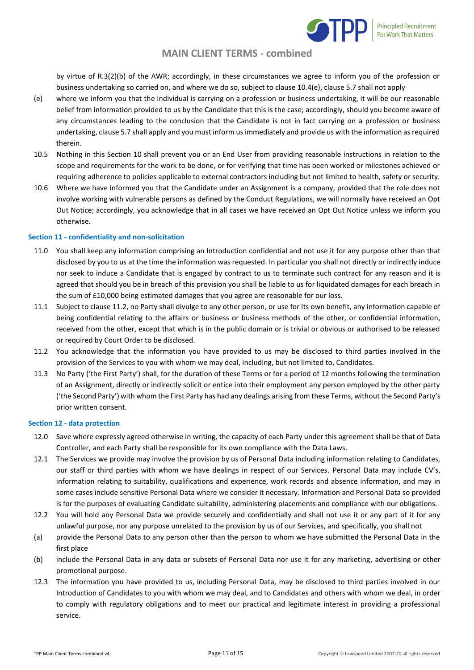

by virtue of R.3(2)(b) of the AWR; accordingly, in these circumstances we agree to inform you of the profession or business undertaking so carried on, and where we do so, subject to clause 10.4(e), clause 5.7 shall not apply

- (e) where we inform you that the individual is carrying on a profession or business undertaking, it will be our reasonable belief from information provided to us by the Candidate that this is the case; accordingly, should you become aware of any circumstances leading to the conclusion that the Candidate is not in fact carrying on a profession or business undertaking, clause 5.7 shall apply and you must inform us immediately and provide us with the information as required therein.
- 10.5 Nothing in this Section 10 shall prevent you or an End User from providing reasonable instructions in relation to the scope and requirements for the work to be done, or for verifying that time has been worked or milestones achieved or requiring adherence to policies applicable to external contractors including but not limited to health, safety or security.
- 10.6 Where we have informed you that the Candidate under an Assignment is a company, provided that the role does not involve working with vulnerable persons as defined by the Conduct Regulations, we will normally have received an Opt Out Notice; accordingly, you acknowledge that in all cases we have received an Opt Out Notice unless we inform you otherwise.

### **Section 11 - confidentiality and non-solicitation**

- 11.0 You shall keep any information comprising an Introduction confidential and not use it for any purpose other than that disclosed by you to us at the time the information was requested. In particular you shall not directly or indirectly induce nor seek to induce a Candidate that is engaged by contract to us to terminate such contract for any reason and it is agreed that should you be in breach of this provision you shall be liable to us for liquidated damages for each breach in the sum of £10,000 being estimated damages that you agree are reasonable for our loss.
- 11.1 Subject to clause 11.2, no Party shall divulge to any other person, or use for its own benefit, any information capable of being confidential relating to the affairs or business or business methods of the other, or confidential information, received from the other, except that which is in the public domain or is trivial or obvious or authorised to be released or required by Court Order to be disclosed.
- 11.2 You acknowledge that the information you have provided to us may be disclosed to third parties involved in the provision of the Services to you with whom we may deal, including, but not limited to, Candidates.
- 11.3 No Party ('the First Party') shall, for the duration of these Terms or for a period of 12 months following the termination of an Assignment, directly or indirectly solicit or entice into their employment any person employed by the other party ('the Second Party') with whom the First Party has had any dealings arising from these Terms, without the Second Party's prior written consent.

#### **Section 12 - data protection**

- 12.0 Save where expressly agreed otherwise in writing, the capacity of each Party under this agreement shall be that of Data Controller, and each Party shall be responsible for its own compliance with the Data Laws.
- 12.1 The Services we provide may involve the provision by us of Personal Data including information relating to Candidates, our staff or third parties with whom we have dealings in respect of our Services. Personal Data may include CV's, information relating to suitability, qualifications and experience, work records and absence information, and may in some cases include sensitive Personal Data where we consider it necessary. Information and Personal Data so provided is for the purposes of evaluating Candidate suitability, administering placements and compliance with our obligations.
- 12.2 You will hold any Personal Data we provide securely and confidentially and shall not use it or any part of it for any unlawful purpose, nor any purpose unrelated to the provision by us of our Services, and specifically, you shall not
- (a) provide the Personal Data to any person other than the person to whom we have submitted the Personal Data in the first place
- (b) include the Personal Data in any data or subsets of Personal Data nor use it for any marketing, advertising or other promotional purpose.
- 12.3 The information you have provided to us, including Personal Data, may be disclosed to third parties involved in our Introduction of Candidates to you with whom we may deal, and to Candidates and others with whom we deal, in order to comply with regulatory obligations and to meet our practical and legitimate interest in providing a professional service.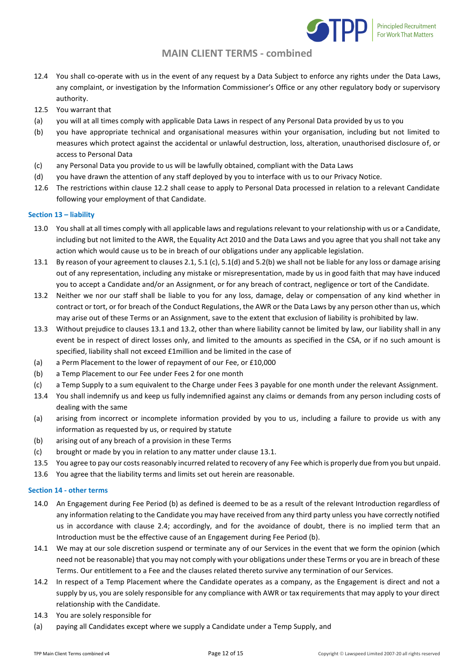

- 12.4 You shall co-operate with us in the event of any request by a Data Subject to enforce any rights under the Data Laws, any complaint, or investigation by the Information Commissioner's Office or any other regulatory body or supervisory authority.
- 12.5 You warrant that
- (a) you will at all times comply with applicable Data Laws in respect of any Personal Data provided by us to you
- (b) you have appropriate technical and organisational measures within your organisation, including but not limited to measures which protect against the accidental or unlawful destruction, loss, alteration, unauthorised disclosure of, or access to Personal Data
- (c) any Personal Data you provide to us will be lawfully obtained, compliant with the Data Laws
- (d) you have drawn the attention of any staff deployed by you to interface with us to our Privacy Notice.
- 12.6 The restrictions within clause 12.2 shall cease to apply to Personal Data processed in relation to a relevant Candidate following your employment of that Candidate.

### **Section 13 – liability**

- 13.0 You shall at all times comply with all applicable laws and regulations relevant to your relationship with us or a Candidate, including but not limited to the AWR, the Equality Act 2010 and the Data Laws and you agree that you shall not take any action which would cause us to be in breach of our obligations under any applicable legislation.
- 13.1 By reason of your agreement to clauses 2.1, 5.1 (c), 5.1(d) and 5.2(b) we shall not be liable for any loss or damage arising out of any representation, including any mistake or misrepresentation, made by us in good faith that may have induced you to accept a Candidate and/or an Assignment, or for any breach of contract, negligence or tort of the Candidate.
- 13.2 Neither we nor our staff shall be liable to you for any loss, damage, delay or compensation of any kind whether in contract or tort, or for breach of the Conduct Regulations, the AWR or the Data Laws by any person other than us, which may arise out of these Terms or an Assignment, save to the extent that exclusion of liability is prohibited by law.
- 13.3 Without prejudice to clauses 13.1 and 13.2, other than where liability cannot be limited by law, our liability shall in any event be in respect of direct losses only, and limited to the amounts as specified in the CSA, or if no such amount is specified, liability shall not exceed £1million and be limited in the case of
- (a) a Perm Placement to the lower of repayment of our Fee, or £10,000
- (b) a Temp Placement to our Fee under Fees 2 for one month
- (c) a Temp Supply to a sum equivalent to the Charge under Fees 3 payable for one month under the relevant Assignment.
- 13.4 You shall indemnify us and keep us fully indemnified against any claims or demands from any person including costs of dealing with the same
- (a) arising from incorrect or incomplete information provided by you to us, including a failure to provide us with any information as requested by us, or required by statute
- (b) arising out of any breach of a provision in these Terms
- (c) brought or made by you in relation to any matter under clause 13.1.
- 13.5 You agree to pay our costs reasonably incurred related to recovery of any Fee which is properly due from you but unpaid.
- 13.6 You agree that the liability terms and limits set out herein are reasonable.

### **Section 14 - other terms**

- 14.0 An Engagement during Fee Period (b) as defined is deemed to be as a result of the relevant Introduction regardless of any information relating to the Candidate you may have received from any third party unless you have correctly notified us in accordance with clause 2.4; accordingly, and for the avoidance of doubt, there is no implied term that an Introduction must be the effective cause of an Engagement during Fee Period (b).
- 14.1 We may at our sole discretion suspend or terminate any of our Services in the event that we form the opinion (which need not be reasonable) that you may not comply with your obligations under these Terms or you are in breach of these Terms. Our entitlement to a Fee and the clauses related thereto survive any termination of our Services.
- 14.2 In respect of a Temp Placement where the Candidate operates as a company, as the Engagement is direct and not a supply by us, you are solely responsible for any compliance with AWR or tax requirements that may apply to your direct relationship with the Candidate.
- 14.3 You are solely responsible for
- (a) paying all Candidates except where we supply a Candidate under a Temp Supply, and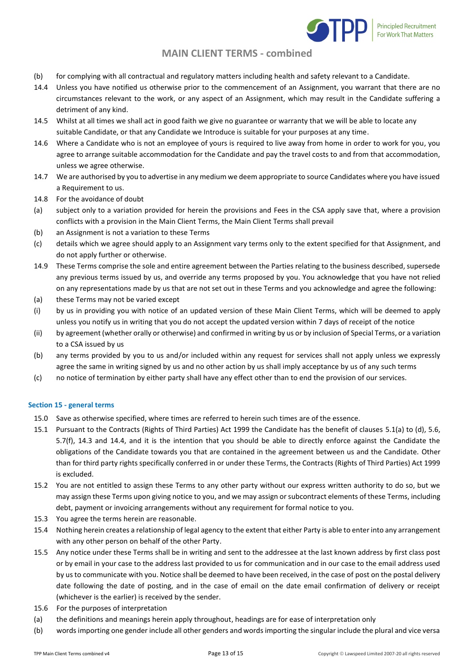

- (b) for complying with all contractual and regulatory matters including health and safety relevant to a Candidate.
- 14.4 Unless you have notified us otherwise prior to the commencement of an Assignment, you warrant that there are no circumstances relevant to the work, or any aspect of an Assignment, which may result in the Candidate suffering a detriment of any kind.
- 14.5 Whilst at all times we shall act in good faith we give no guarantee or warranty that we will be able to locate any suitable Candidate, or that any Candidate we Introduce is suitable for your purposes at any time.
- 14.6 Where a Candidate who is not an employee of yours is required to live away from home in order to work for you, you agree to arrange suitable accommodation for the Candidate and pay the travel costs to and from that accommodation, unless we agree otherwise.
- 14.7 We are authorised by you to advertise in any medium we deem appropriate to source Candidates where you have issued a Requirement to us.
- 14.8 For the avoidance of doubt
- (a) subject only to a variation provided for herein the provisions and Fees in the CSA apply save that, where a provision conflicts with a provision in the Main Client Terms, the Main Client Terms shall prevail
- (b) an Assignment is not a variation to these Terms
- (c) details which we agree should apply to an Assignment vary terms only to the extent specified for that Assignment, and do not apply further or otherwise.
- 14.9 These Terms comprise the sole and entire agreement between the Parties relating to the business described, supersede any previous terms issued by us, and override any terms proposed by you. You acknowledge that you have not relied on any representations made by us that are not set out in these Terms and you acknowledge and agree the following:
- (a) these Terms may not be varied except
- (i) by us in providing you with notice of an updated version of these Main Client Terms, which will be deemed to apply unless you notify us in writing that you do not accept the updated version within 7 days of receipt of the notice
- (ii) by agreement (whether orally or otherwise) and confirmed in writing by us or by inclusion of Special Terms, or a variation to a CSA issued by us
- (b) any terms provided by you to us and/or included within any request for services shall not apply unless we expressly agree the same in writing signed by us and no other action by us shall imply acceptance by us of any such terms
- (c) no notice of termination by either party shall have any effect other than to end the provision of our services.

### **Section 15 - general terms**

- 15.0 Save as otherwise specified, where times are referred to herein such times are of the essence.
- 15.1 Pursuant to the Contracts (Rights of Third Parties) Act 1999 the Candidate has the benefit of clauses 5.1(a) to (d), 5.6, 5.7(f), 14.3 and 14.4, and it is the intention that you should be able to directly enforce against the Candidate the obligations of the Candidate towards you that are contained in the agreement between us and the Candidate. Other than for third party rights specifically conferred in or under these Terms, the Contracts (Rights of Third Parties) Act 1999 is excluded.
- 15.2 You are not entitled to assign these Terms to any other party without our express written authority to do so, but we may assign these Terms upon giving notice to you, and we may assign or subcontract elements of these Terms, including debt, payment or invoicing arrangements without any requirement for formal notice to you.
- 15.3 You agree the terms herein are reasonable.
- 15.4 Nothing herein creates a relationship of legal agency to the extent that either Party is able to enter into any arrangement with any other person on behalf of the other Party.
- 15.5 Any notice under these Terms shall be in writing and sent to the addressee at the last known address by first class post or by email in your case to the address last provided to us for communication and in our case to the email address used by us to communicate with you. Notice shall be deemed to have been received, in the case of post on the postal delivery date following the date of posting, and in the case of email on the date email confirmation of delivery or receipt (whichever is the earlier) is received by the sender.
- 15.6 For the purposes of interpretation
- (a) the definitions and meanings herein apply throughout, headings are for ease of interpretation only
- (b) words importing one gender include all other genders and words importing the singular include the plural and vice versa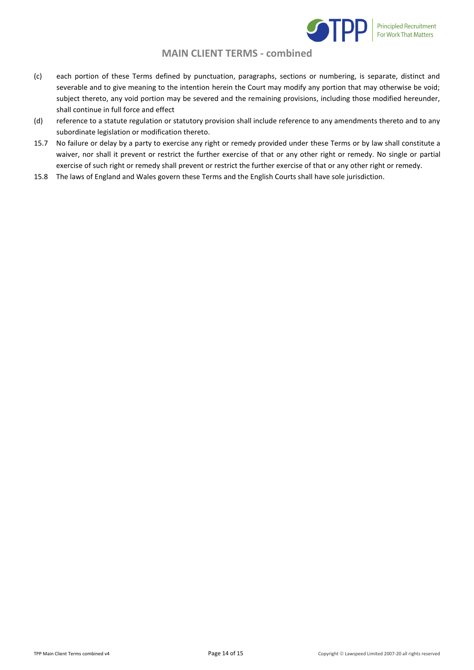

- (c) each portion of these Terms defined by punctuation, paragraphs, sections or numbering, is separate, distinct and severable and to give meaning to the intention herein the Court may modify any portion that may otherwise be void; subject thereto, any void portion may be severed and the remaining provisions, including those modified hereunder, shall continue in full force and effect
- (d) reference to a statute regulation or statutory provision shall include reference to any amendments thereto and to any subordinate legislation or modification thereto.
- 15.7 No failure or delay by a party to exercise any right or remedy provided under these Terms or by law shall constitute a waiver, nor shall it prevent or restrict the further exercise of that or any other right or remedy. No single or partial exercise of such right or remedy shall prevent or restrict the further exercise of that or any other right or remedy.
- 15.8 The laws of England and Wales govern these Terms and the English Courts shall have sole jurisdiction.